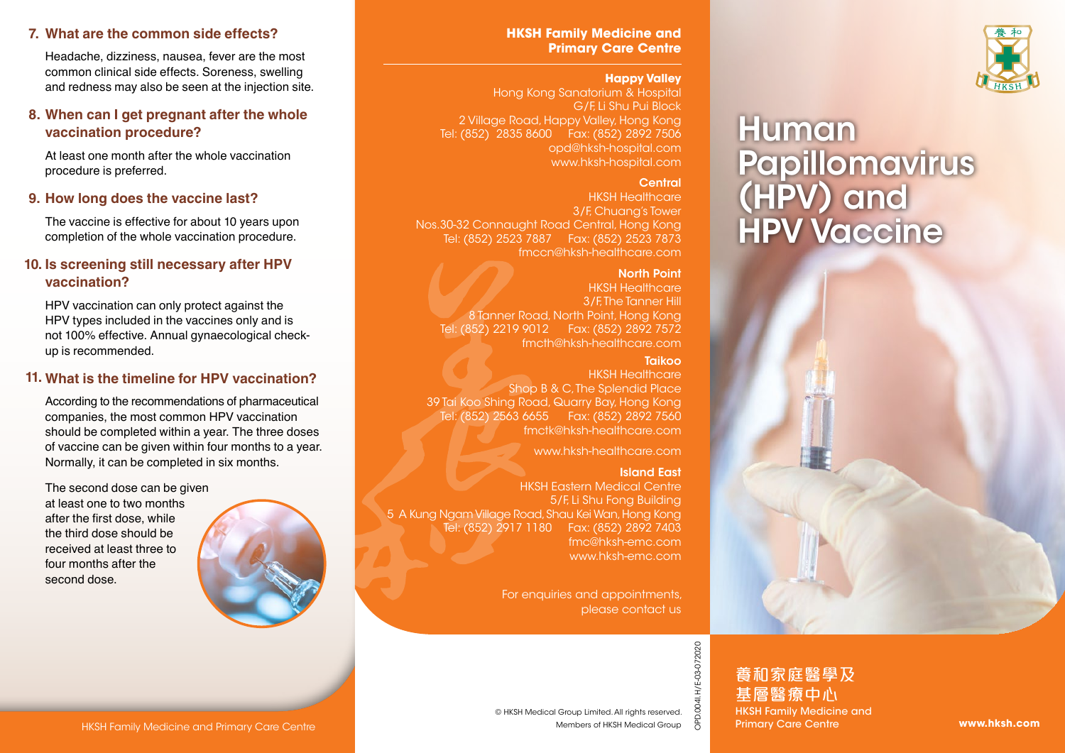## **7. What are the common side effects?**

Headache, dizziness, nausea, fever are the most common clinical side effects. Soreness, swelling and redness may also be seen at the injection site.

## **8. When can I get pregnant after the whole vaccination procedure?**

At least one month after the whole vaccination procedure is preferred.

#### **9. How long does the vaccine last?**

The vaccine is effective for about 10 years upon completion of the whole vaccination procedure.

## **10. Is screening still necessary after HPV vaccination?**

HPV vaccination can only protect against the HPV types included in the vaccines only and is not 100% effective. Annual gynaecological checkup is recommended.

## **What is the timeline for HPV vaccination? 11.**

According to the recommendations of pharmaceutical companies, the most common HPV vaccination should be completed within a year. The three doses of vaccine can be given within four months to a year. Normally, it can be completed in six months.

The second dose can be given at least one to two months after the first dose, while the third dose should be received at least three to four months after the second dose.



### **HKSH Family Medicine and Primary Care Centre**

#### **Happy Valley**

Hong Kong Sanatorium & Hospital G/F, Li Shu Pui Block 2 Village Road, Happy Valley, Hong Kong Tel: (852) 2835 8600 Fax: (852) 2892 7506 opd@hksh-hospital.com www.hksh-hospital.com

#### **Central**

HKSH Healthcare 3/F, Chuang's Tower Nos.30-32 Connaught Road Central, Hong Kong Tel: (852) 2523 7887 Fax: (852) 2523 7873 fmccn@hksh-healthcare.com

#### North Point

HKSH Healthcare 3/F. The Tanner Hill 8 Tanner Road, North Point, Hong Kong Tel: (852) 2219 9012 Fax: (852) 2892 7572 fmcth@hksh-healthcare.com

#### Taikoo

HKSH Healthcare Shop B & C. The Splendid Place 39 Tai Koo Shing Road, Quarry Bay, Hong Kong Tel: (852) 2563 6655 Fax: (852) 2892 7560 fmctk@hksh-healthcare.com

www.hksh-healthcare.com

#### Island East

HKSH Eastern Medical Centre 5/F, Li Shu Fong Building 5 A Kung Ngam Village Road, Shau Kei Wan, Hong Kong Tel: (852) 2917 1180 Fax: (852) 2892 7403 fmc@hksh-emc.com www.hksh-emc.com

> For enquiries and appointments, please contact us



# **Human** Papillomavirus (HPV) and HPV Vaccine



OPD.004I.H/E-03-072020

HKSH Family Medicine and Primary Care Centre<br>
MESH Medical Group Limited. All rights reserved.<br>
Members of HKSH Medical Group Care Centre Members of HKSH Medical Group of Primary Care Centre www.hksh.com<br>
Members of HKSH 養和家庭醫學及 基層醫療中心 HKSH Family Medicine and Primary Care Centre

Members of HKSH Medical Group © HKSH Medical Group Limited. All rights reserved.